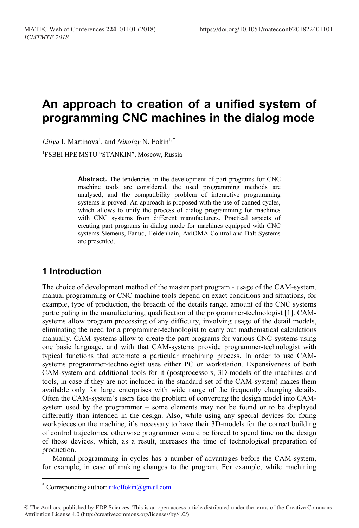# **An approach to creation of a unified system of programming CNC machines in the dialog mode**

Liliya I. Martinova<sup>1</sup>, and *Nikolay* N. Fokin<sup>1,[\\*](#page-0-0)</sup>

1 FSBEI HPE MSTU "STANKIN", Moscow, Russia

Abstract. The tendencies in the development of part programs for CNC machine tools are considered, the used programming methods are analysed, and the compatibility problem of interactive programming systems is proved. An approach is proposed with the use of canned cycles, which allows to unify the process of dialog programming for machines with CNC systems from different manufacturers. Practical aspects of creating part programs in dialog mode for machines equipped with CNC systems Siemens, Fanuc, Heidenhain, AxiOMA Control and Balt-Systems are presented.

## **1 Introduction**

The choice of development method of the master part program - usage of the CAM-system, manual programming or CNC machine tools depend on exact conditions and situations, for example, type of production, the breadth of the details range, amount of the CNC systems participating in the manufacturing, qualification of the programmer-technologist [1]. САМsystems allow program processing of any difficulty, involving usage of the detail models, eliminating the need for a programmer-technologist to carry out mathematical calculations manually. САМ-systems allow to create the part programs for various CNC-systems using one basic language, and with that САМ-systems provide programmer-technologist with typical functions that automate a particular machining process. In order to use CAMsystems programmer-technologist uses either PC or workstation. Expensiveness of both САМ-system and additional tools for it (postprocessors, 3D-models of the machines and tools, in case if they are not included in the standard set of the САМ-system) makes them available only for large enterprises with wide range of the frequently changing details. Often the САМ-system's users face the problem of converting the design model into САМsystem used by the programmer – some elements may not be found or to be displayed differently than intended in the design. Also, while using any special devices for fixing workpieces on the machine, it's necessary to have their 3D-models for the correct building of control trajectories, otherwise programmer would be forced to spend time on the design of those devices, which, as a result, increases the time of technological preparation of production.

Manual programming in cycles has a number of advantages before the САМ-system, for example, in case of making changes to the program. For example, while machining

 $\overline{a}$ 

<sup>\*</sup> Corresponding author:  $nikolfokin@gmail.com$ 

<span id="page-0-0"></span><sup>©</sup> The Authors, published by EDP Sciences. This is an open access article distributed under the terms of the Creative Commons Attribution License 4.0 (http://creativecommons.org/licenses/by/4.0/).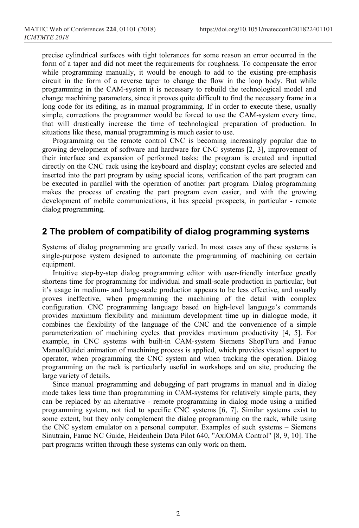precise cylindrical surfaces with tight tolerances for some reason an error occurred in the form of a taper and did not meet the requirements for roughness. To compensate the error while programming manually, it would be enough to add to the existing pre-emphasis circuit in the form of a reverse taper to change the flow in the loop body. But while programming in the САМ-system it is necessary to rebuild the technological model and change machining parameters, since it proves quite difficult to find the necessary frame in a long code for its editing, as in manual programming. If in order to execute these, usually simple, corrections the programmer would be forced to use the CAM-system every time, that will drastically increase the time of technological preparation of production. In situations like these, manual programming is much easier to use.

Programming on the remote control CNC is becoming increasingly popular due to growing development of software and hardware for CNC systems [2, 3], improvement of their interface and expansion of performed tasks: the program is created and inputted directly on the CNC rack using the keyboard and display; constant cycles are selected and inserted into the part program by using special icons, verification of the part program can be executed in parallel with the operation of another part program. Dialog programming makes the process of creating the part program even easier, and with the growing development of mobile communications, it has special prospects, in particular - remote dialog programming.

#### **2 The problem of compatibility of dialog programming systems**

Systems of dialog programming are greatly varied. In most cases any of these systems is single-purpose system designed to automate the programming of machining on certain equipment.

Intuitive step-by-step dialog programming editor with user-friendly interface greatly shortens time for programming for individual and small-scale production in particular, but it's usage in medium- and large-scale production appears to be less effective, and usually proves ineffective, when programming the machining of the detail with complex configuration. CNC programming language based on high-level language's commands provides maximum flexibility and minimum development time up in dialogue mode, it combines the flexibility of the language of the CNC and the convenience of a simple parameterization of machining cycles that provides maximum productivity [4, 5]. For example, in CNC systems with built-in САМ-system Siemens ShopTurn and Fanuc ManualGuidei animation of machining process is applied, which provides visual support to operator, when programming the CNC system and when tracking the operation. Dialog programming on the rack is particularly useful in workshops and on site, producing the large variety of details.

Since manual programming and debugging of part programs in manual and in dialog mode takes less time than programming in CAM-systems for relatively simple parts, they can be replaced by an alternative - remote programming in dialog mode using a unified programming system, not tied to specific CNC systems [6, 7]. Similar systems exist to some extent, but they only complement the dialog programming on the rack, while using the CNC system emulator on a personal computer. Examples of such systems – Siemens Sinutrain, Fanuc NC Guide, Heidenhein Data Pilot 640, "AxiОМА Control" [8, 9, 10]. The part programs written through these systems can only work on them.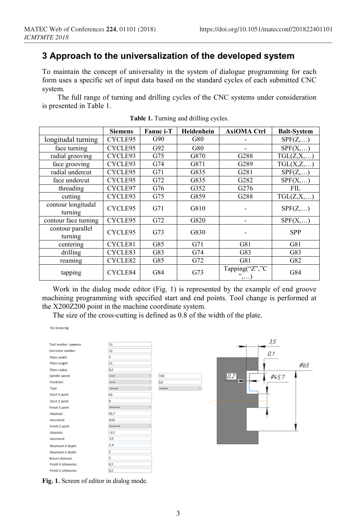## **3 Approach to the universalization of the developed system**

To maintain the concept of universality in the system of dialogue programming for each form uses a specific set of input data based on the standard cycles of each submitted CNC system.

The full range of turning and drilling cycles of the CNC systems under consideration is presented in Table 1.

|                               | <b>Siemens</b> | Fanuc i-T | Heidenhein | <b>AxiOMA Ctrl</b>    | <b>Balt-System</b>  |
|-------------------------------|----------------|-----------|------------|-----------------------|---------------------|
| longitudal turning            | CYCLE95        | G90       | G80        |                       | SPF(Z,)             |
| face turning                  | CYCLE95        | G92       | G80        |                       | SPF(X,)             |
| radial grooving               | CYCLE93        | G75       | G870       | G288                  | TGL(Z,X,)           |
| face grooving                 | CYCLE93        | G74       | G871       | G289                  | TGL(X,Z,)           |
| radial undercut               | CYCLE95        | G71       | G835       | G281                  | SPF(Z,)             |
| face undercut                 | CYCLE95        | G72       | G835       | G282                  | SPF(X,)             |
| threading                     | CYCLE97        | G76       | G352       | G <sub>276</sub>      | FIL.                |
| cutting                       | CYCLE93        | G75       | G859       | G288                  | $TGL(Z, X, \ldots)$ |
| contour longitudal<br>turning | CYCLE95        | G71       | G810       |                       | SPF(Z,)             |
| contour face turning          | CYCLE95        | G72       | G820       |                       | SPF(X,)             |
| contour parallel<br>turning   | CYCLE95        | G73       | G830       |                       | <b>SPP</b>          |
| centering                     | CYCLE81        | G85       | G71        | G81                   | G81                 |
| drilling                      | CYCLE83        | G83       | G74        | G83                   | G83                 |
| reaming                       | CYCLE82        | G85       | G72        | G81                   | G82                 |
| tapping                       | CYCLE84        | G84       | G73        | Tapping("Z","C<br>",) | G84                 |

**Table 1.** Turning and drilling cycles.

Work in the dialog mode editor (Fig. 1) is represented by the example of end groove machining programming with specified start and end points. Tool change is performed at the X200Z200 point in the machine coordinate system.

The size of the cross-cutting is defined as 0.8 of the width of the plate.

N1 Grooving



**Fig. 1.** Screen of editor in dialog mode.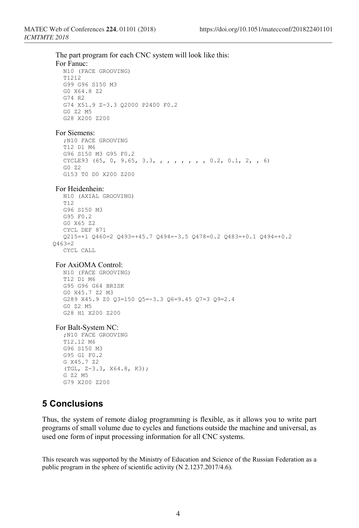The part program for each CNC system will look like this: For Fanuc: N10 (FACE GROOVING) T1212 G99 G96 S150 M3 G0 X64.8 Z2 G74 R2 G74 X51.9 Z-3.3 Q2000 P2400 F0.2 G0 Z2 M5 G28 X200 Z200 For Siemens: ;N10 FACE GROOVING T12 D1 M6 G96 S150 M3 G95 F0.2 CYCLE93 (65, 0, 9.65, 3.3, , , , , , , , 0.2, 0.1, 2, , 6) G0 Z2 G153 T0 D0 X200 Z200 For Heidenhein: N10 (AXIAL GROOVING) T<sub>12</sub> G96 S150 M3 G95 F0.2 G0 X65 Z2 CYCL DEF 871 Q215=+1 Q460=2 Q493=+45.7 Q494=-3.5 Q478=0.2 Q483=+0.1 Q494=+0.2  $0463=2$ CYCL CALL For AxiОМА Control: N10 (FACE GROOVING) T12 D1 M6 G95 G96 G64 BRISK G0 X45.7 Z2 M3 G289 X45.9 Z0 Q3=150 Q5=-3.3 Q6=9.45 Q7=3 Q9=2.4 G0 Z2 M5 G28 H1 X200 Z200 For Balt-System NC: ;N10 FACE GROOVING T12.12 M6 G96 S150 M3 G95 G1 F0.2 G X45.7 Z2 (TGL, Z-3.3, X64.8, K3); G Z2 M5 G79 X200 Z200

### **5 Conclusions**

Thus, the system of remote dialog programming is flexible, as it allows you to write part programs of small volume due to cycles and functions outside the machine and universal, as used one form of input processing information for all CNC systems.

This research was supported by the Ministry of Education and Science of the Russian Federation as a public program in the sphere of scientific activity (N 2.1237.2017/4.6).